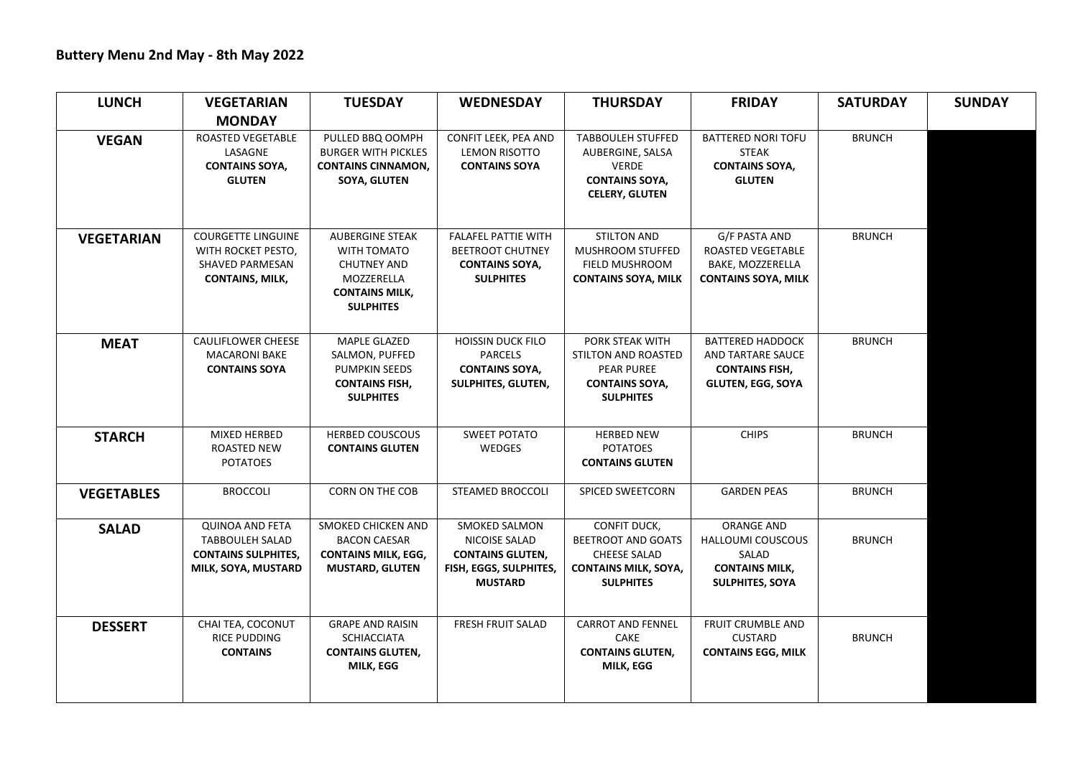| <b>LUNCH</b>      | <b>VEGETARIAN</b>                                                                                     | <b>TUESDAY</b>                                                                                                         | <b>WEDNESDAY</b>                                                                                      | <b>THURSDAY</b>                                                                                                | <b>FRIDAY</b>                                                                                     | <b>SATURDAY</b> | <b>SUNDAY</b> |
|-------------------|-------------------------------------------------------------------------------------------------------|------------------------------------------------------------------------------------------------------------------------|-------------------------------------------------------------------------------------------------------|----------------------------------------------------------------------------------------------------------------|---------------------------------------------------------------------------------------------------|-----------------|---------------|
|                   | <b>MONDAY</b>                                                                                         |                                                                                                                        |                                                                                                       |                                                                                                                |                                                                                                   |                 |               |
| <b>VEGAN</b>      | ROASTED VEGETABLE<br>LASAGNE<br><b>CONTAINS SOYA,</b><br><b>GLUTEN</b>                                | PULLED BBQ OOMPH<br><b>BURGER WITH PICKLES</b><br><b>CONTAINS CINNAMON,</b><br><b>SOYA, GLUTEN</b>                     | CONFIT LEEK, PEA AND<br><b>LEMON RISOTTO</b><br><b>CONTAINS SOYA</b>                                  | <b>TABBOULEH STUFFED</b><br>AUBERGINE, SALSA<br><b>VERDE</b><br><b>CONTAINS SOYA,</b><br><b>CELERY, GLUTEN</b> | BATTERED NORI TOFU<br><b>STEAK</b><br><b>CONTAINS SOYA,</b><br><b>GLUTEN</b>                      | <b>BRUNCH</b>   |               |
| <b>VEGETARIAN</b> | <b>COURGETTE LINGUINE</b><br>WITH ROCKET PESTO,<br><b>SHAVED PARMESAN</b><br><b>CONTAINS, MILK,</b>   | <b>AUBERGINE STEAK</b><br>WITH TOMATO<br><b>CHUTNEY AND</b><br>MOZZERELLA<br><b>CONTAINS MILK,</b><br><b>SULPHITES</b> | FALAFEL PATTIE WITH<br><b>BEETROOT CHUTNEY</b><br><b>CONTAINS SOYA,</b><br><b>SULPHITES</b>           | <b>STILTON AND</b><br>MUSHROOM STUFFED<br>FIELD MUSHROOM<br><b>CONTAINS SOYA, MILK</b>                         | G/F PASTA AND<br>ROASTED VEGETABLE<br>BAKE, MOZZERELLA<br><b>CONTAINS SOYA, MILK</b>              | <b>BRUNCH</b>   |               |
| <b>MEAT</b>       | <b>CAULIFLOWER CHEESE</b><br><b>MACARONI BAKE</b><br><b>CONTAINS SOYA</b>                             | MAPLE GLAZED<br>SALMON, PUFFED<br><b>PUMPKIN SEEDS</b><br><b>CONTAINS FISH,</b><br><b>SULPHITES</b>                    | <b>HOISSIN DUCK FILO</b><br><b>PARCELS</b><br><b>CONTAINS SOYA,</b><br><b>SULPHITES, GLUTEN,</b>      | PORK STEAK WITH<br>STILTON AND ROASTED<br><b>PEAR PUREE</b><br><b>CONTAINS SOYA,</b><br><b>SULPHITES</b>       | <b>BATTERED HADDOCK</b><br>AND TARTARE SAUCE<br><b>CONTAINS FISH,</b><br><b>GLUTEN, EGG, SOYA</b> | <b>BRUNCH</b>   |               |
| <b>STARCH</b>     | MIXED HERBED<br><b>ROASTED NEW</b><br><b>POTATOES</b>                                                 | <b>HERBED COUSCOUS</b><br><b>CONTAINS GLUTEN</b>                                                                       | SWEET POTATO<br>WEDGES                                                                                | <b>HERBED NEW</b><br><b>POTATOES</b><br><b>CONTAINS GLUTEN</b>                                                 | <b>CHIPS</b>                                                                                      | <b>BRUNCH</b>   |               |
| <b>VEGETABLES</b> | <b>BROCCOLI</b>                                                                                       | CORN ON THE COB                                                                                                        | STEAMED BROCCOLI                                                                                      | <b>SPICED SWEETCORN</b>                                                                                        | <b>GARDEN PEAS</b>                                                                                | <b>BRUNCH</b>   |               |
| <b>SALAD</b>      | <b>QUINOA AND FETA</b><br><b>TABBOULEH SALAD</b><br><b>CONTAINS SULPHITES,</b><br>MILK, SOYA, MUSTARD | SMOKED CHICKEN AND<br><b>BACON CAESAR</b><br><b>CONTAINS MILK, EGG,</b><br><b>MUSTARD, GLUTEN</b>                      | SMOKED SALMON<br>NICOISE SALAD<br><b>CONTAINS GLUTEN,</b><br>FISH, EGGS, SULPHITES,<br><b>MUSTARD</b> | CONFIT DUCK,<br>BEETROOT AND GOATS<br><b>CHEESE SALAD</b><br><b>CONTAINS MILK, SOYA,</b><br><b>SULPHITES</b>   | ORANGE AND<br><b>HALLOUMI COUSCOUS</b><br>SALAD<br><b>CONTAINS MILK,</b><br>SULPHITES, SOYA       | <b>BRUNCH</b>   |               |
| <b>DESSERT</b>    | CHAI TEA, COCONUT<br>RICE PUDDING<br><b>CONTAINS</b>                                                  | <b>GRAPE AND RAISIN</b><br><b>SCHIACCIATA</b><br><b>CONTAINS GLUTEN,</b><br><b>MILK, EGG</b>                           | <b>FRESH FRUIT SALAD</b>                                                                              | <b>CARROT AND FENNEL</b><br><b>CAKE</b><br><b>CONTAINS GLUTEN,</b><br>MILK, EGG                                | FRUIT CRUMBLE AND<br><b>CUSTARD</b><br><b>CONTAINS EGG, MILK</b>                                  | <b>BRUNCH</b>   |               |